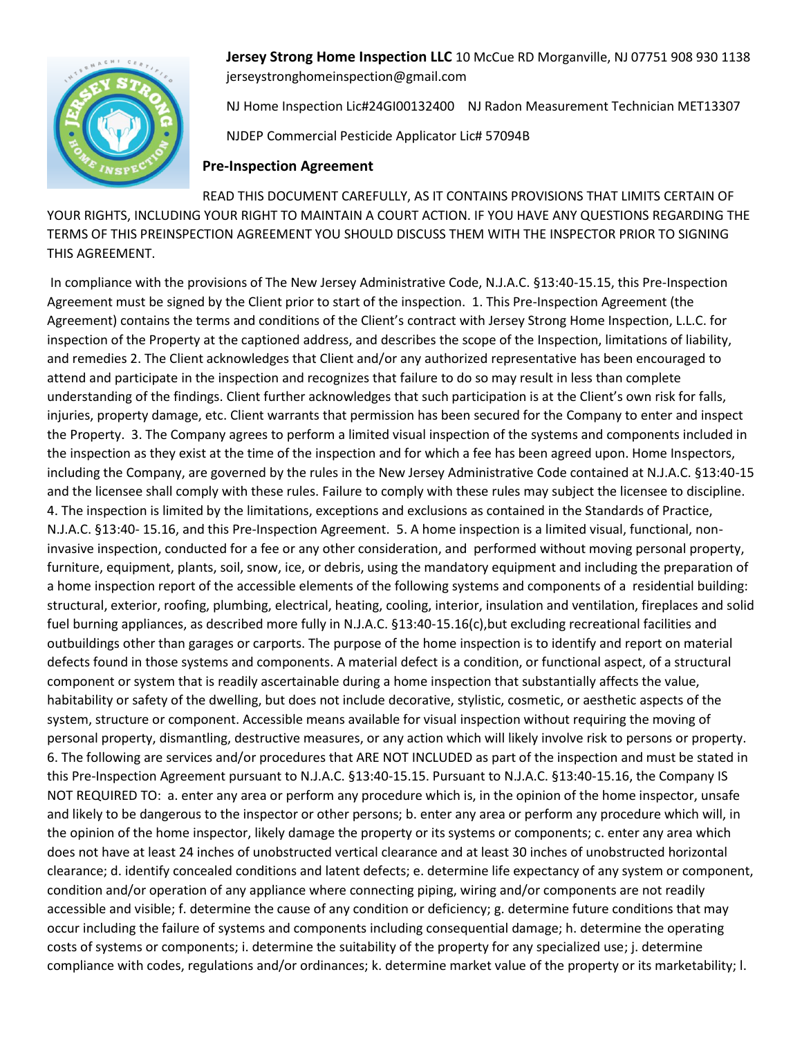

**Jersey Strong Home Inspection LLC** 10 McCue RD Morganville, NJ 07751 908 930 1138 jerseystronghomeinspection@gmail.com

NJ Home Inspection Lic#24GI00132400 NJ Radon Measurement Technician MET13307

NJDEP Commercial Pesticide Applicator Lic# 57094B

## **Pre-Inspection Agreement**

READ THIS DOCUMENT CAREFULLY, AS IT CONTAINS PROVISIONS THAT LIMITS CERTAIN OF YOUR RIGHTS, INCLUDING YOUR RIGHT TO MAINTAIN A COURT ACTION. IF YOU HAVE ANY QUESTIONS REGARDING THE TERMS OF THIS PREINSPECTION AGREEMENT YOU SHOULD DISCUSS THEM WITH THE INSPECTOR PRIOR TO SIGNING THIS AGREEMENT.

In compliance with the provisions of The New Jersey Administrative Code, N.J.A.C. §13:40-15.15, this Pre-Inspection Agreement must be signed by the Client prior to start of the inspection. 1. This Pre-Inspection Agreement (the Agreement) contains the terms and conditions of the Client's contract with Jersey Strong Home Inspection, L.L.C. for inspection of the Property at the captioned address, and describes the scope of the Inspection, limitations of liability, and remedies 2. The Client acknowledges that Client and/or any authorized representative has been encouraged to attend and participate in the inspection and recognizes that failure to do so may result in less than complete understanding of the findings. Client further acknowledges that such participation is at the Client's own risk for falls, injuries, property damage, etc. Client warrants that permission has been secured for the Company to enter and inspect the Property. 3. The Company agrees to perform a limited visual inspection of the systems and components included in the inspection as they exist at the time of the inspection and for which a fee has been agreed upon. Home Inspectors, including the Company, are governed by the rules in the New Jersey Administrative Code contained at N.J.A.C. §13:40-15 and the licensee shall comply with these rules. Failure to comply with these rules may subject the licensee to discipline. 4. The inspection is limited by the limitations, exceptions and exclusions as contained in the Standards of Practice, N.J.A.C. §13:40- 15.16, and this Pre-Inspection Agreement. 5. A home inspection is a limited visual, functional, noninvasive inspection, conducted for a fee or any other consideration, and performed without moving personal property, furniture, equipment, plants, soil, snow, ice, or debris, using the mandatory equipment and including the preparation of a home inspection report of the accessible elements of the following systems and components of a residential building: structural, exterior, roofing, plumbing, electrical, heating, cooling, interior, insulation and ventilation, fireplaces and solid fuel burning appliances, as described more fully in N.J.A.C. §13:40-15.16(c),but excluding recreational facilities and outbuildings other than garages or carports. The purpose of the home inspection is to identify and report on material defects found in those systems and components. A material defect is a condition, or functional aspect, of a structural component or system that is readily ascertainable during a home inspection that substantially affects the value, habitability or safety of the dwelling, but does not include decorative, stylistic, cosmetic, or aesthetic aspects of the system, structure or component. Accessible means available for visual inspection without requiring the moving of personal property, dismantling, destructive measures, or any action which will likely involve risk to persons or property. 6. The following are services and/or procedures that ARE NOT INCLUDED as part of the inspection and must be stated in this Pre-Inspection Agreement pursuant to N.J.A.C. §13:40-15.15. Pursuant to N.J.A.C. §13:40-15.16, the Company IS NOT REQUIRED TO: a. enter any area or perform any procedure which is, in the opinion of the home inspector, unsafe and likely to be dangerous to the inspector or other persons; b. enter any area or perform any procedure which will, in the opinion of the home inspector, likely damage the property or its systems or components; c. enter any area which does not have at least 24 inches of unobstructed vertical clearance and at least 30 inches of unobstructed horizontal clearance; d. identify concealed conditions and latent defects; e. determine life expectancy of any system or component, condition and/or operation of any appliance where connecting piping, wiring and/or components are not readily accessible and visible; f. determine the cause of any condition or deficiency; g. determine future conditions that may occur including the failure of systems and components including consequential damage; h. determine the operating costs of systems or components; i. determine the suitability of the property for any specialized use; j. determine compliance with codes, regulations and/or ordinances; k. determine market value of the property or its marketability; l.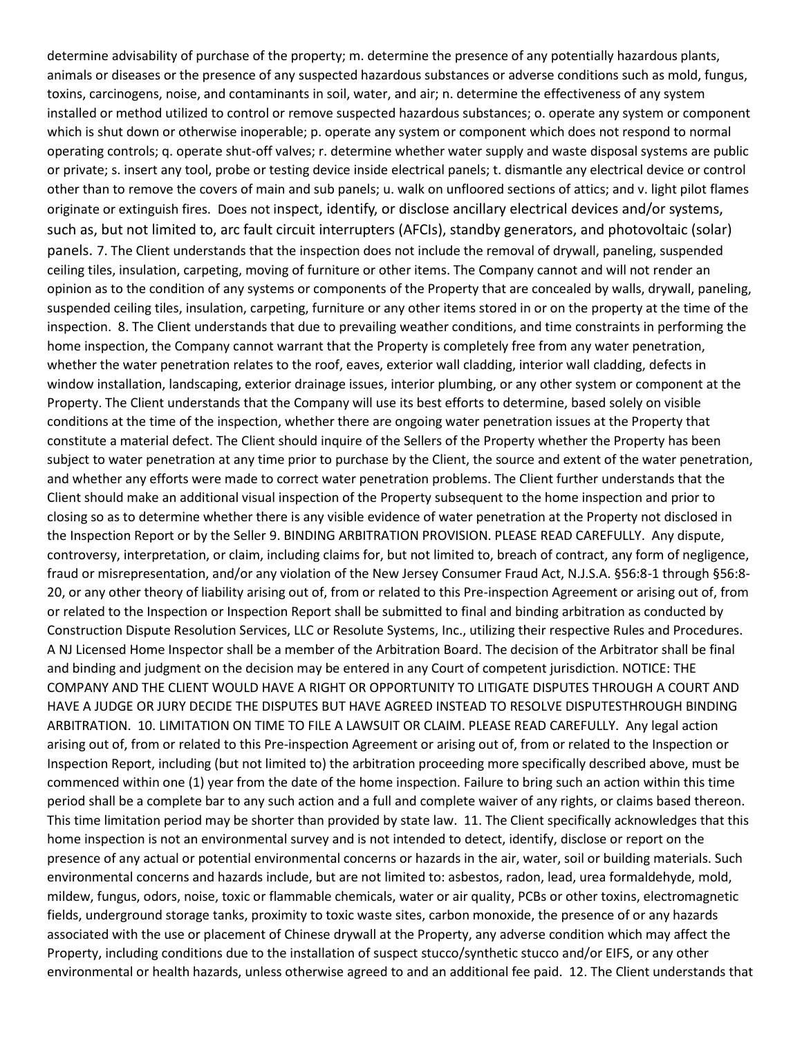determine advisability of purchase of the property; m. determine the presence of any potentially hazardous plants, animals or diseases or the presence of any suspected hazardous substances or adverse conditions such as mold, fungus, toxins, carcinogens, noise, and contaminants in soil, water, and air; n. determine the effectiveness of any system installed or method utilized to control or remove suspected hazardous substances; o. operate any system or component which is shut down or otherwise inoperable; p. operate any system or component which does not respond to normal operating controls; q. operate shut-off valves; r. determine whether water supply and waste disposal systems are public or private; s. insert any tool, probe or testing device inside electrical panels; t. dismantle any electrical device or control other than to remove the covers of main and sub panels; u. walk on unfloored sections of attics; and v. light pilot flames originate or extinguish fires. Does not inspect, identify, or disclose ancillary electrical devices and/or systems, such as, but not limited to, arc fault circuit interrupters (AFCIs), standby generators, and photovoltaic (solar) panels. 7. The Client understands that the inspection does not include the removal of drywall, paneling, suspended ceiling tiles, insulation, carpeting, moving of furniture or other items. The Company cannot and will not render an opinion as to the condition of any systems or components of the Property that are concealed by walls, drywall, paneling, suspended ceiling tiles, insulation, carpeting, furniture or any other items stored in or on the property at the time of the inspection. 8. The Client understands that due to prevailing weather conditions, and time constraints in performing the home inspection, the Company cannot warrant that the Property is completely free from any water penetration, whether the water penetration relates to the roof, eaves, exterior wall cladding, interior wall cladding, defects in window installation, landscaping, exterior drainage issues, interior plumbing, or any other system or component at the Property. The Client understands that the Company will use its best efforts to determine, based solely on visible conditions at the time of the inspection, whether there are ongoing water penetration issues at the Property that constitute a material defect. The Client should inquire of the Sellers of the Property whether the Property has been subject to water penetration at any time prior to purchase by the Client, the source and extent of the water penetration, and whether any efforts were made to correct water penetration problems. The Client further understands that the Client should make an additional visual inspection of the Property subsequent to the home inspection and prior to closing so as to determine whether there is any visible evidence of water penetration at the Property not disclosed in the Inspection Report or by the Seller 9. BINDING ARBITRATION PROVISION. PLEASE READ CAREFULLY. Any dispute, controversy, interpretation, or claim, including claims for, but not limited to, breach of contract, any form of negligence, fraud or misrepresentation, and/or any violation of the New Jersey Consumer Fraud Act, N.J.S.A. §56:8-1 through §56:8- 20, or any other theory of liability arising out of, from or related to this Pre-inspection Agreement or arising out of, from or related to the Inspection or Inspection Report shall be submitted to final and binding arbitration as conducted by Construction Dispute Resolution Services, LLC or Resolute Systems, Inc., utilizing their respective Rules and Procedures. A NJ Licensed Home Inspector shall be a member of the Arbitration Board. The decision of the Arbitrator shall be final and binding and judgment on the decision may be entered in any Court of competent jurisdiction. NOTICE: THE COMPANY AND THE CLIENT WOULD HAVE A RIGHT OR OPPORTUNITY TO LITIGATE DISPUTES THROUGH A COURT AND HAVE A JUDGE OR JURY DECIDE THE DISPUTES BUT HAVE AGREED INSTEAD TO RESOLVE DISPUTESTHROUGH BINDING ARBITRATION. 10. LIMITATION ON TIME TO FILE A LAWSUIT OR CLAIM. PLEASE READ CAREFULLY. Any legal action arising out of, from or related to this Pre-inspection Agreement or arising out of, from or related to the Inspection or Inspection Report, including (but not limited to) the arbitration proceeding more specifically described above, must be commenced within one (1) year from the date of the home inspection. Failure to bring such an action within this time period shall be a complete bar to any such action and a full and complete waiver of any rights, or claims based thereon. This time limitation period may be shorter than provided by state law. 11. The Client specifically acknowledges that this home inspection is not an environmental survey and is not intended to detect, identify, disclose or report on the presence of any actual or potential environmental concerns or hazards in the air, water, soil or building materials. Such environmental concerns and hazards include, but are not limited to: asbestos, radon, lead, urea formaldehyde, mold, mildew, fungus, odors, noise, toxic or flammable chemicals, water or air quality, PCBs or other toxins, electromagnetic fields, underground storage tanks, proximity to toxic waste sites, carbon monoxide, the presence of or any hazards associated with the use or placement of Chinese drywall at the Property, any adverse condition which may affect the Property, including conditions due to the installation of suspect stucco/synthetic stucco and/or EIFS, or any other environmental or health hazards, unless otherwise agreed to and an additional fee paid. 12. The Client understands that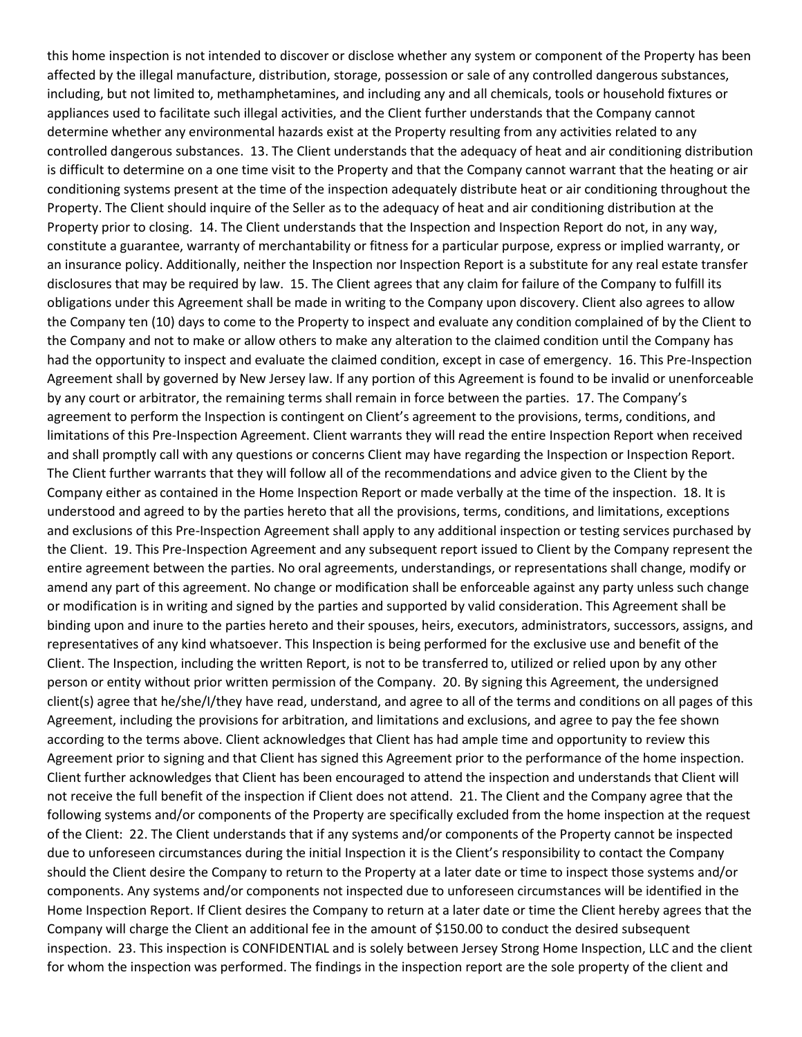this home inspection is not intended to discover or disclose whether any system or component of the Property has been affected by the illegal manufacture, distribution, storage, possession or sale of any controlled dangerous substances, including, but not limited to, methamphetamines, and including any and all chemicals, tools or household fixtures or appliances used to facilitate such illegal activities, and the Client further understands that the Company cannot determine whether any environmental hazards exist at the Property resulting from any activities related to any controlled dangerous substances. 13. The Client understands that the adequacy of heat and air conditioning distribution is difficult to determine on a one time visit to the Property and that the Company cannot warrant that the heating or air conditioning systems present at the time of the inspection adequately distribute heat or air conditioning throughout the Property. The Client should inquire of the Seller as to the adequacy of heat and air conditioning distribution at the Property prior to closing. 14. The Client understands that the Inspection and Inspection Report do not, in any way, constitute a guarantee, warranty of merchantability or fitness for a particular purpose, express or implied warranty, or an insurance policy. Additionally, neither the Inspection nor Inspection Report is a substitute for any real estate transfer disclosures that may be required by law. 15. The Client agrees that any claim for failure of the Company to fulfill its obligations under this Agreement shall be made in writing to the Company upon discovery. Client also agrees to allow the Company ten (10) days to come to the Property to inspect and evaluate any condition complained of by the Client to the Company and not to make or allow others to make any alteration to the claimed condition until the Company has had the opportunity to inspect and evaluate the claimed condition, except in case of emergency. 16. This Pre-Inspection Agreement shall by governed by New Jersey law. If any portion of this Agreement is found to be invalid or unenforceable by any court or arbitrator, the remaining terms shall remain in force between the parties. 17. The Company's agreement to perform the Inspection is contingent on Client's agreement to the provisions, terms, conditions, and limitations of this Pre-Inspection Agreement. Client warrants they will read the entire Inspection Report when received and shall promptly call with any questions or concerns Client may have regarding the Inspection or Inspection Report. The Client further warrants that they will follow all of the recommendations and advice given to the Client by the Company either as contained in the Home Inspection Report or made verbally at the time of the inspection. 18. It is understood and agreed to by the parties hereto that all the provisions, terms, conditions, and limitations, exceptions and exclusions of this Pre-Inspection Agreement shall apply to any additional inspection or testing services purchased by the Client. 19. This Pre-Inspection Agreement and any subsequent report issued to Client by the Company represent the entire agreement between the parties. No oral agreements, understandings, or representations shall change, modify or amend any part of this agreement. No change or modification shall be enforceable against any party unless such change or modification is in writing and signed by the parties and supported by valid consideration. This Agreement shall be binding upon and inure to the parties hereto and their spouses, heirs, executors, administrators, successors, assigns, and representatives of any kind whatsoever. This Inspection is being performed for the exclusive use and benefit of the Client. The Inspection, including the written Report, is not to be transferred to, utilized or relied upon by any other person or entity without prior written permission of the Company. 20. By signing this Agreement, the undersigned client(s) agree that he/she/I/they have read, understand, and agree to all of the terms and conditions on all pages of this Agreement, including the provisions for arbitration, and limitations and exclusions, and agree to pay the fee shown according to the terms above. Client acknowledges that Client has had ample time and opportunity to review this Agreement prior to signing and that Client has signed this Agreement prior to the performance of the home inspection. Client further acknowledges that Client has been encouraged to attend the inspection and understands that Client will not receive the full benefit of the inspection if Client does not attend. 21. The Client and the Company agree that the following systems and/or components of the Property are specifically excluded from the home inspection at the request of the Client: 22. The Client understands that if any systems and/or components of the Property cannot be inspected due to unforeseen circumstances during the initial Inspection it is the Client's responsibility to contact the Company should the Client desire the Company to return to the Property at a later date or time to inspect those systems and/or components. Any systems and/or components not inspected due to unforeseen circumstances will be identified in the Home Inspection Report. If Client desires the Company to return at a later date or time the Client hereby agrees that the Company will charge the Client an additional fee in the amount of \$150.00 to conduct the desired subsequent inspection. 23. This inspection is CONFIDENTIAL and is solely between Jersey Strong Home Inspection, LLC and the client for whom the inspection was performed. The findings in the inspection report are the sole property of the client and